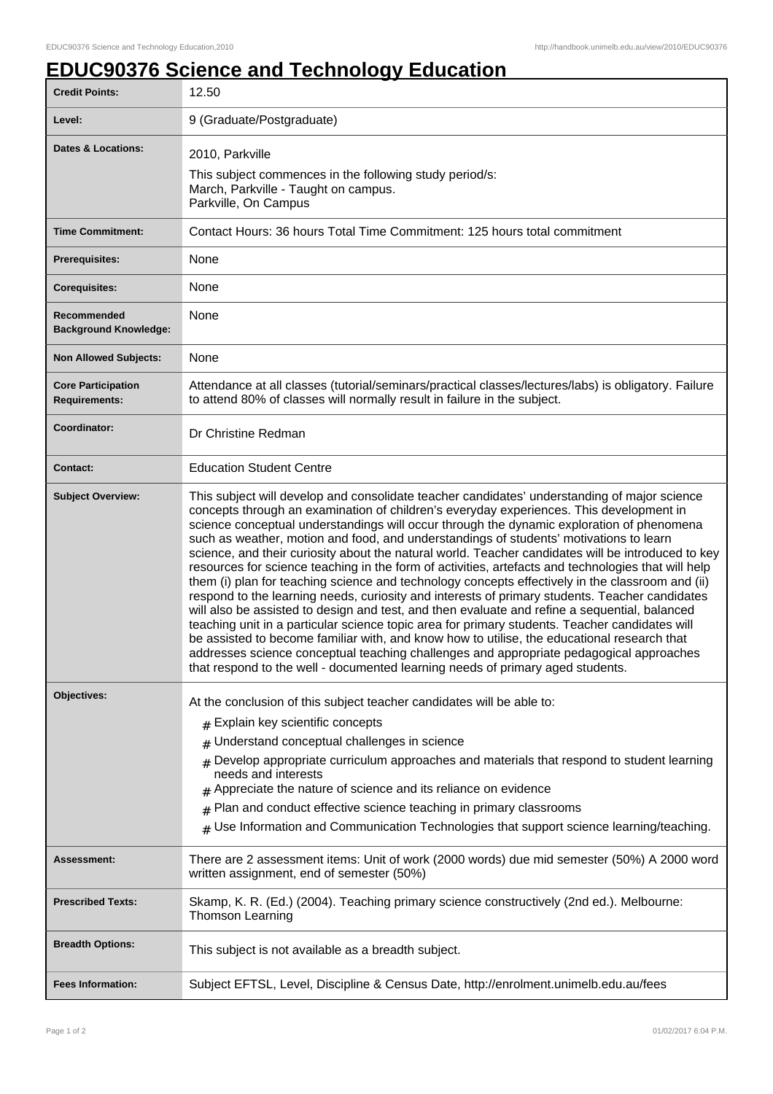## **EDUC90376 Science and Technology Education**

| <b>Credit Points:</b>                             | 12.50                                                                                                                                                                                                                                                                                                                                                                                                                                                                                                                                                                                                                                                                                                                                                                                                                                                                                                                                                                                                                                                                                                                                                                                                                                                                            |
|---------------------------------------------------|----------------------------------------------------------------------------------------------------------------------------------------------------------------------------------------------------------------------------------------------------------------------------------------------------------------------------------------------------------------------------------------------------------------------------------------------------------------------------------------------------------------------------------------------------------------------------------------------------------------------------------------------------------------------------------------------------------------------------------------------------------------------------------------------------------------------------------------------------------------------------------------------------------------------------------------------------------------------------------------------------------------------------------------------------------------------------------------------------------------------------------------------------------------------------------------------------------------------------------------------------------------------------------|
| Level:                                            | 9 (Graduate/Postgraduate)                                                                                                                                                                                                                                                                                                                                                                                                                                                                                                                                                                                                                                                                                                                                                                                                                                                                                                                                                                                                                                                                                                                                                                                                                                                        |
| <b>Dates &amp; Locations:</b>                     | 2010, Parkville<br>This subject commences in the following study period/s:<br>March, Parkville - Taught on campus.<br>Parkville, On Campus                                                                                                                                                                                                                                                                                                                                                                                                                                                                                                                                                                                                                                                                                                                                                                                                                                                                                                                                                                                                                                                                                                                                       |
| <b>Time Commitment:</b>                           | Contact Hours: 36 hours Total Time Commitment: 125 hours total commitment                                                                                                                                                                                                                                                                                                                                                                                                                                                                                                                                                                                                                                                                                                                                                                                                                                                                                                                                                                                                                                                                                                                                                                                                        |
| <b>Prerequisites:</b>                             | None                                                                                                                                                                                                                                                                                                                                                                                                                                                                                                                                                                                                                                                                                                                                                                                                                                                                                                                                                                                                                                                                                                                                                                                                                                                                             |
| <b>Corequisites:</b>                              | None                                                                                                                                                                                                                                                                                                                                                                                                                                                                                                                                                                                                                                                                                                                                                                                                                                                                                                                                                                                                                                                                                                                                                                                                                                                                             |
| Recommended<br><b>Background Knowledge:</b>       | None                                                                                                                                                                                                                                                                                                                                                                                                                                                                                                                                                                                                                                                                                                                                                                                                                                                                                                                                                                                                                                                                                                                                                                                                                                                                             |
| <b>Non Allowed Subjects:</b>                      | None                                                                                                                                                                                                                                                                                                                                                                                                                                                                                                                                                                                                                                                                                                                                                                                                                                                                                                                                                                                                                                                                                                                                                                                                                                                                             |
| <b>Core Participation</b><br><b>Requirements:</b> | Attendance at all classes (tutorial/seminars/practical classes/lectures/labs) is obligatory. Failure<br>to attend 80% of classes will normally result in failure in the subject.                                                                                                                                                                                                                                                                                                                                                                                                                                                                                                                                                                                                                                                                                                                                                                                                                                                                                                                                                                                                                                                                                                 |
| Coordinator:                                      | Dr Christine Redman                                                                                                                                                                                                                                                                                                                                                                                                                                                                                                                                                                                                                                                                                                                                                                                                                                                                                                                                                                                                                                                                                                                                                                                                                                                              |
| <b>Contact:</b>                                   | <b>Education Student Centre</b>                                                                                                                                                                                                                                                                                                                                                                                                                                                                                                                                                                                                                                                                                                                                                                                                                                                                                                                                                                                                                                                                                                                                                                                                                                                  |
| <b>Subject Overview:</b>                          | This subject will develop and consolidate teacher candidates' understanding of major science<br>concepts through an examination of children's everyday experiences. This development in<br>science conceptual understandings will occur through the dynamic exploration of phenomena<br>such as weather, motion and food, and understandings of students' motivations to learn<br>science, and their curiosity about the natural world. Teacher candidates will be introduced to key<br>resources for science teaching in the form of activities, artefacts and technologies that will help<br>them (i) plan for teaching science and technology concepts effectively in the classroom and (ii)<br>respond to the learning needs, curiosity and interests of primary students. Teacher candidates<br>will also be assisted to design and test, and then evaluate and refine a sequential, balanced<br>teaching unit in a particular science topic area for primary students. Teacher candidates will<br>be assisted to become familiar with, and know how to utilise, the educational research that<br>addresses science conceptual teaching challenges and appropriate pedagogical approaches<br>that respond to the well - documented learning needs of primary aged students. |
| Objectives:                                       | At the conclusion of this subject teacher candidates will be able to:<br># Explain key scientific concepts<br>Understand conceptual challenges in science<br>#<br>Develop appropriate curriculum approaches and materials that respond to student learning<br>needs and interests<br>Appreciate the nature of science and its reliance on evidence<br>Plan and conduct effective science teaching in primary classrooms<br>#<br>Use Information and Communication Technologies that support science learning/teaching.<br>#                                                                                                                                                                                                                                                                                                                                                                                                                                                                                                                                                                                                                                                                                                                                                      |
| <b>Assessment:</b>                                | There are 2 assessment items: Unit of work (2000 words) due mid semester (50%) A 2000 word<br>written assignment, end of semester (50%)                                                                                                                                                                                                                                                                                                                                                                                                                                                                                                                                                                                                                                                                                                                                                                                                                                                                                                                                                                                                                                                                                                                                          |
| <b>Prescribed Texts:</b>                          | Skamp, K. R. (Ed.) (2004). Teaching primary science constructively (2nd ed.). Melbourne:<br><b>Thomson Learning</b>                                                                                                                                                                                                                                                                                                                                                                                                                                                                                                                                                                                                                                                                                                                                                                                                                                                                                                                                                                                                                                                                                                                                                              |
| <b>Breadth Options:</b>                           | This subject is not available as a breadth subject.                                                                                                                                                                                                                                                                                                                                                                                                                                                                                                                                                                                                                                                                                                                                                                                                                                                                                                                                                                                                                                                                                                                                                                                                                              |
| <b>Fees Information:</b>                          | Subject EFTSL, Level, Discipline & Census Date, http://enrolment.unimelb.edu.au/fees                                                                                                                                                                                                                                                                                                                                                                                                                                                                                                                                                                                                                                                                                                                                                                                                                                                                                                                                                                                                                                                                                                                                                                                             |